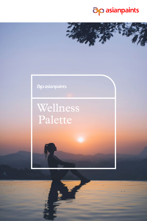

### do asianpaints

# Wellness Palette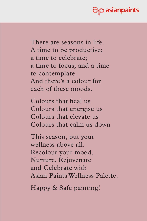

There are seasons in life. A time to be productive; a time to celebrate; a time to focus; and a time to contemplate. And there's a colour for each of these moods.

Colours that heal us Colours that energise us Colours that elevate us Colours that calm us down

This season, put your wellness above all. Recolour your mood. Nurture, Rejuvenate and Celebrate with Asian Paints Wellness Palette.

Happy & Safe painting!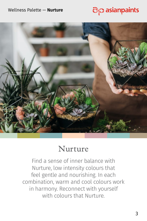#### Wellness Palette — **Nurture**





### Nurture

Find a sense of inner balance with Nurture, low intensity colours that feel gentle and nourishing. In each combination, warm and cool colours work in harmony. Reconnect with yourself with colours that Nurture.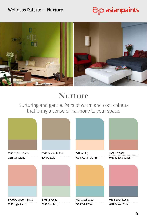#### Wellness Palette — **Nurture**





### Nurture

Nurturing and gentle. Pairs of warm and cool colours that bring a sense of harmony to your space.



High Spirits **0299** Dew Drop **6134** Smoke Grey

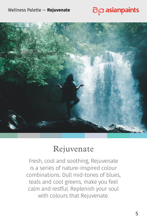#### Wellness Palette — **Rejuvenate**





### Rejuvenate

Fresh, cool and soothing, Rejuvenate is a series of nature-inspired colour combinations. Dull mid-tones of blues, teals and cool greens, make you feel calm and restful. Replenish your soul with colours that Rejuvenate.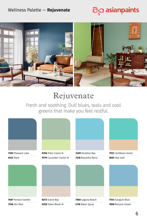#### Wellness Palette — **Rejuvenate**





## Rejuvenate

Fresh and soothing. Dull blues, teals and cool greens that make you feel restful.



**7607** Terrace Garden **7556** Zen Mist

**8273** Grand Bay **K255** Dawn Blush-N

**7560** Laguna Beach **L118** Water Spray

**7344** Gauguin Blue **7850** Banana Cream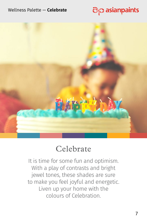#### Wellness Palette — **Celebrate**





### Celebrate

It is time for some fun and optimism. With a play of contrasts and bright jewel tones, these shades are sure to make you feel joyful and energetic. Liven up your home with the colours of Celebration.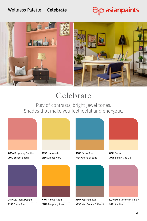#### Wellness Palette — **Celebrate**





# Celebrate

Play of contrasts, bright jewel tones. Shades that make you feel joyful and energetic.



**8054** Raspberry Souffle **7992** Sunset Beach



**7157** Egg Plant Delight **X138** Grape Riot



**X109** Mango Mood

 **X129** Burgundy Plus



**9680** Retro Blue **8061** Salsa **7934** Grains of Sand **7946** Sunny Side Up



**K237** Irish Crème Coffee-N **9991** Aboli-N



**X149** Polished Blue **K016** Mediterranean Pink-N